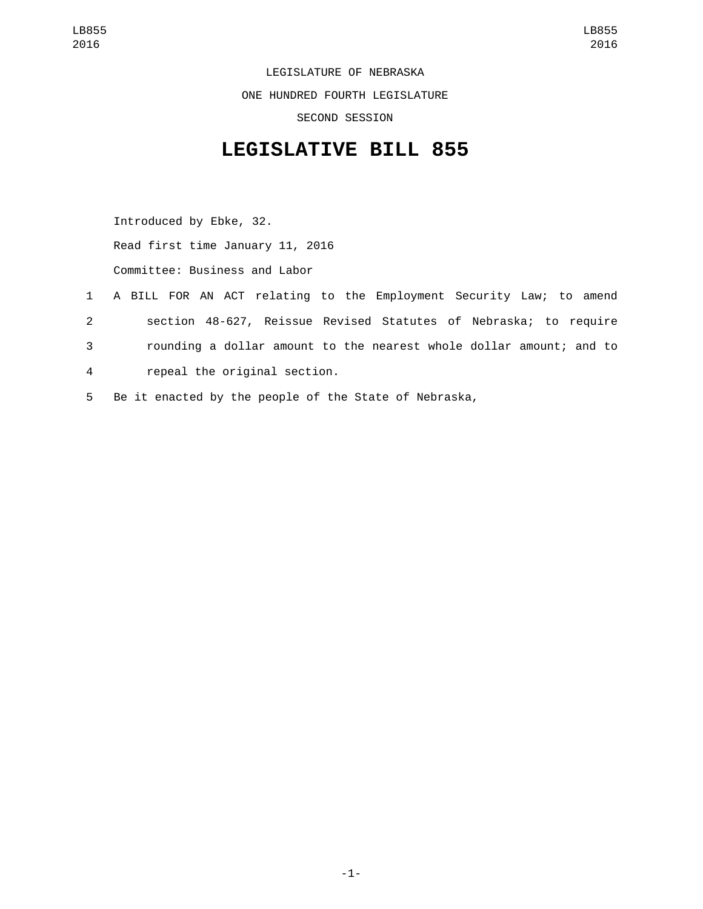LEGISLATURE OF NEBRASKA ONE HUNDRED FOURTH LEGISLATURE SECOND SESSION

## **LEGISLATIVE BILL 855**

Introduced by Ebke, 32. Read first time January 11, 2016 Committee: Business and Labor

- 1 A BILL FOR AN ACT relating to the Employment Security Law; to amend 2 section 48-627, Reissue Revised Statutes of Nebraska; to require 3 rounding a dollar amount to the nearest whole dollar amount; and to repeal the original section.4
- 5 Be it enacted by the people of the State of Nebraska,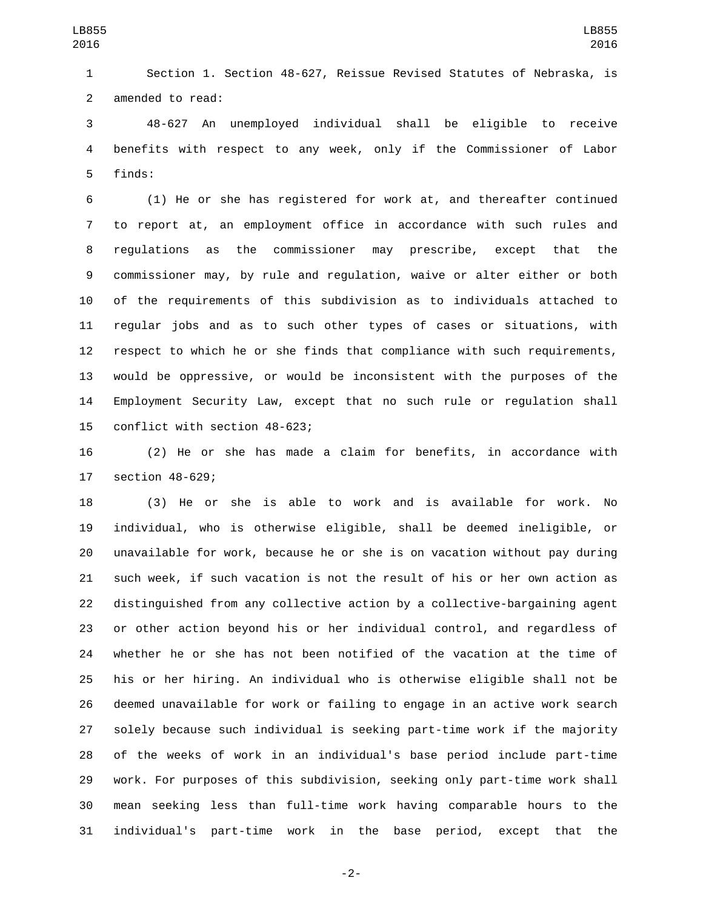Section 1. Section 48-627, Reissue Revised Statutes of Nebraska, is 2 amended to read:

 48-627 An unemployed individual shall be eligible to receive benefits with respect to any week, only if the Commissioner of Labor 5 finds:

 (1) He or she has registered for work at, and thereafter continued to report at, an employment office in accordance with such rules and regulations as the commissioner may prescribe, except that the commissioner may, by rule and regulation, waive or alter either or both of the requirements of this subdivision as to individuals attached to regular jobs and as to such other types of cases or situations, with respect to which he or she finds that compliance with such requirements, would be oppressive, or would be inconsistent with the purposes of the Employment Security Law, except that no such rule or regulation shall 15 conflict with section 48-623;

 (2) He or she has made a claim for benefits, in accordance with 17 section 48-629;

 (3) He or she is able to work and is available for work. No individual, who is otherwise eligible, shall be deemed ineligible, or unavailable for work, because he or she is on vacation without pay during such week, if such vacation is not the result of his or her own action as distinguished from any collective action by a collective-bargaining agent or other action beyond his or her individual control, and regardless of whether he or she has not been notified of the vacation at the time of his or her hiring. An individual who is otherwise eligible shall not be deemed unavailable for work or failing to engage in an active work search solely because such individual is seeking part-time work if the majority of the weeks of work in an individual's base period include part-time work. For purposes of this subdivision, seeking only part-time work shall mean seeking less than full-time work having comparable hours to the individual's part-time work in the base period, except that the

-2-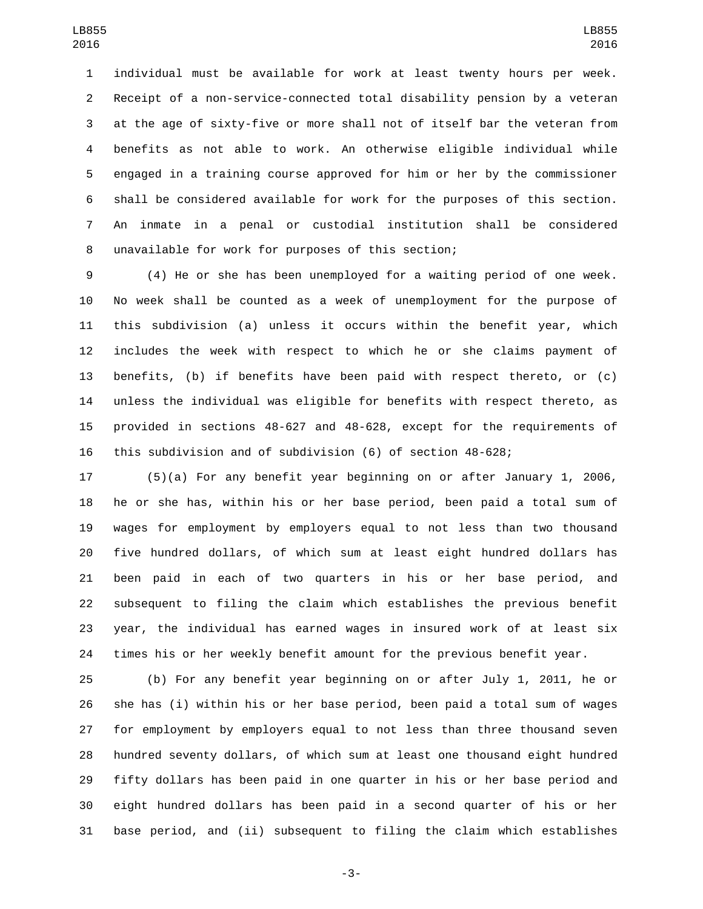individual must be available for work at least twenty hours per week. Receipt of a non-service-connected total disability pension by a veteran at the age of sixty-five or more shall not of itself bar the veteran from benefits as not able to work. An otherwise eligible individual while engaged in a training course approved for him or her by the commissioner shall be considered available for work for the purposes of this section. An inmate in a penal or custodial institution shall be considered unavailable for work for purposes of this section;8

 (4) He or she has been unemployed for a waiting period of one week. No week shall be counted as a week of unemployment for the purpose of this subdivision (a) unless it occurs within the benefit year, which includes the week with respect to which he or she claims payment of benefits, (b) if benefits have been paid with respect thereto, or (c) unless the individual was eligible for benefits with respect thereto, as provided in sections 48-627 and 48-628, except for the requirements of this subdivision and of subdivision (6) of section 48-628;

 (5)(a) For any benefit year beginning on or after January 1, 2006, he or she has, within his or her base period, been paid a total sum of wages for employment by employers equal to not less than two thousand five hundred dollars, of which sum at least eight hundred dollars has been paid in each of two quarters in his or her base period, and subsequent to filing the claim which establishes the previous benefit year, the individual has earned wages in insured work of at least six times his or her weekly benefit amount for the previous benefit year.

 (b) For any benefit year beginning on or after July 1, 2011, he or she has (i) within his or her base period, been paid a total sum of wages for employment by employers equal to not less than three thousand seven hundred seventy dollars, of which sum at least one thousand eight hundred fifty dollars has been paid in one quarter in his or her base period and eight hundred dollars has been paid in a second quarter of his or her base period, and (ii) subsequent to filing the claim which establishes

-3-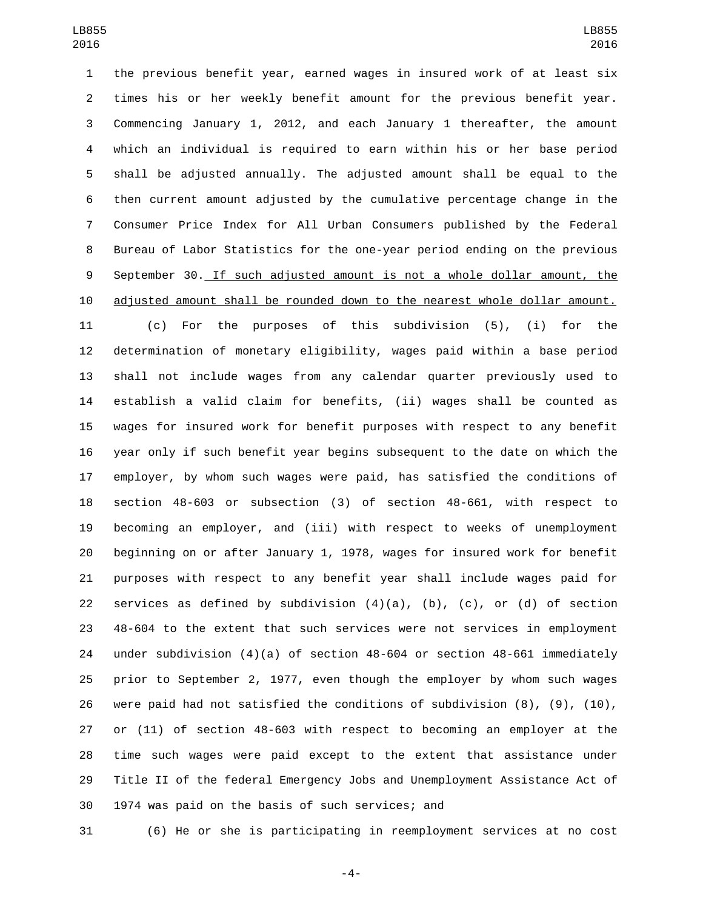the previous benefit year, earned wages in insured work of at least six times his or her weekly benefit amount for the previous benefit year. Commencing January 1, 2012, and each January 1 thereafter, the amount which an individual is required to earn within his or her base period shall be adjusted annually. The adjusted amount shall be equal to the then current amount adjusted by the cumulative percentage change in the Consumer Price Index for All Urban Consumers published by the Federal Bureau of Labor Statistics for the one-year period ending on the previous September 30. If such adjusted amount is not a whole dollar amount, the adjusted amount shall be rounded down to the nearest whole dollar amount. (c) For the purposes of this subdivision (5), (i) for the determination of monetary eligibility, wages paid within a base period shall not include wages from any calendar quarter previously used to establish a valid claim for benefits, (ii) wages shall be counted as wages for insured work for benefit purposes with respect to any benefit year only if such benefit year begins subsequent to the date on which the employer, by whom such wages were paid, has satisfied the conditions of section 48-603 or subsection (3) of section 48-661, with respect to becoming an employer, and (iii) with respect to weeks of unemployment beginning on or after January 1, 1978, wages for insured work for benefit purposes with respect to any benefit year shall include wages paid for 22 services as defined by subdivision  $(4)(a)$ ,  $(b)$ ,  $(c)$ , or  $(d)$  of section 48-604 to the extent that such services were not services in employment under subdivision (4)(a) of section 48-604 or section 48-661 immediately prior to September 2, 1977, even though the employer by whom such wages 26 were paid had not satisfied the conditions of subdivision  $(8)$ ,  $(9)$ ,  $(10)$ , or (11) of section 48-603 with respect to becoming an employer at the time such wages were paid except to the extent that assistance under Title II of the federal Emergency Jobs and Unemployment Assistance Act of 30 1974 was paid on the basis of such services; and

(6) He or she is participating in reemployment services at no cost

-4-